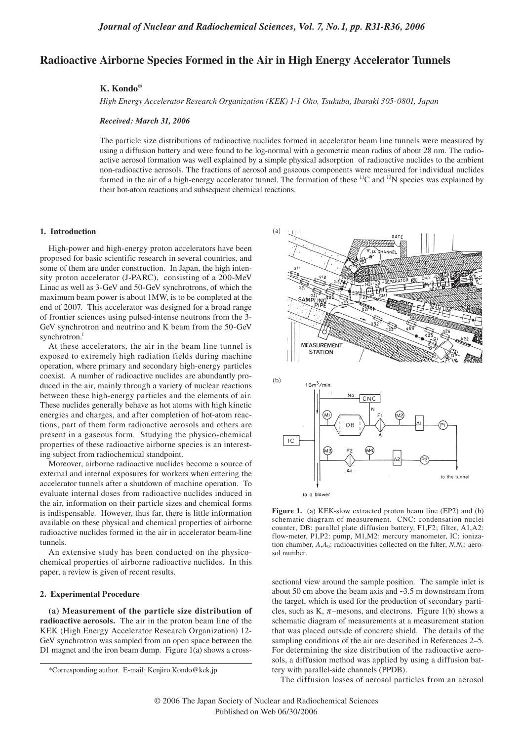# **Radioactive Airborne Species Formed in the Air in High Energy Accelerator Tunnels**

# **K. Kondo\***

*High Energy Accelerator Research Organization (KEK) 1-1 Oho, Tsukuba, Ibaraki 305-0801, Japan*

# *Received: March 31, 2006*

The particle size distributions of radioactive nuclides formed in accelerator beam line tunnels were measured by using a diffusion battery and were found to be log-normal with a geometric mean radius of about 28 nm. The radioactive aerosol formation was well explained by a simple physical adsorption of radioactive nuclides to the ambient non-radioactive aerosols. The fractions of aerosol and gaseous components were measured for individual nuclides formed in the air of a high-energy accelerator tunnel. The formation of these  ${}^{11}C$  and  ${}^{13}N$  species was explained by their hot-atom reactions and subsequent chemical reactions.

#### **1. Introduction**

High-power and high-energy proton accelerators have been proposed for basic scientific research in several countries, and some of them are under construction. In Japan, the high intensity proton accelerator (J-PARC), consisting of a 200-MeV Linac as well as 3-GeV and 50-GeV synchrotrons, of which the maximum beam power is about 1MW, is to be completed at the end of 2007. This accelerator was designed for a broad range of frontier sciences using pulsed-intense neutrons from the 3- GeV synchrotron and neutrino and K beam from the 50-GeV synchrotron.<sup>1</sup>

At these accelerators, the air in the beam line tunnel is exposed to extremely high radiation fields during machine operation, where primary and secondary high-energy particles coexist. A number of radioactive nuclides are abundantly produced in the air, mainly through a variety of nuclear reactions between these high-energy particles and the elements of air. These nuclides generally behave as hot atoms with high kinetic energies and charges, and after completion of hot-atom reactions, part of them form radioactive aerosols and others are present in a gaseous form. Studying the physico-chemical properties of these radioactive airborne species is an interesting subject from radiochemical standpoint.

Moreover, airborne radioactive nuclides become a source of external and internal exposures for workers when entering the accelerator tunnels after a shutdown of machine operation. To evaluate internal doses from radioactive nuclides induced in the air, information on their particle sizes and chemical forms is indispensable. However, thus far, there is little information available on these physical and chemical properties of airborne radioactive nuclides formed in the air in accelerator beam-line tunnels.

An extensive study has been conducted on the physicochemical properties of airborne radioactive nuclides. In this paper, a review is given of recent results.

## **2. Experimental Procedure**

**(a) Measurement of the particle size distribution of radioactive aerosols.** The air in the proton beam line of the KEK (High Energy Accelerator Research Organization) 12- GeV synchrotron was sampled from an open space between the D1 magnet and the iron beam dump. Figure 1(a) shows a cross-



to a blower

Figure 1. (a) KEK-slow extracted proton beam line (EP2) and (b) schematic diagram of measurement. CNC: condensation nuclei counter, DB: parallel plate diffusion battery, F1,F2; filter, A1,A2: flow-meter, P1,P2: pump, M1,M2: mercury manometer, IC: ionization chamber,  $A_1A_0$ : radioactivities collected on the filter,  $N_1N_0$ : aerosol number.

sectional view around the sample position. The sample inlet is about 50 cm above the beam axis and ~3.5 m downstream from the target, which is used for the production of secondary particles, such as K,  $\pi$ -mesons, and electrons. Figure 1(b) shows a schematic diagram of measurements at a measurement station that was placed outside of concrete shield. The details of the sampling conditions of the air are described in References 2–5. For determining the size distribution of the radioactive aerosols, a diffusion method was applied by using a diffusion battery with parallel-side channels (PPDB).

The diffusion losses of aerosol particles from an aerosol

<sup>\*</sup>Corresponding author. E-mail: Kenjiro.Kondo@kek.jp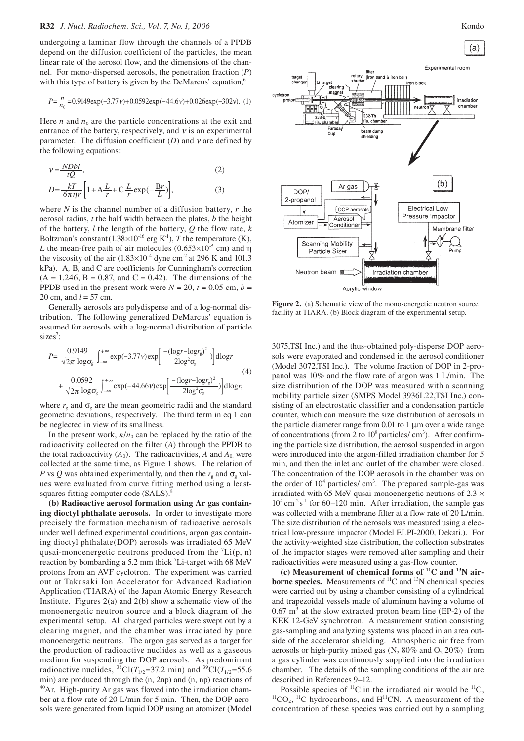undergoing a laminar flow through the channels of a PPDB depend on the diffusion coefficient of the particles, the mean linear rate of the aerosol flow, and the dimensions of the channel. For mono-dispersed aerosols, the penetration fraction (*P*) with this type of battery is given by the DeMarcus' equation,<sup>6</sup>

$$
P = \frac{n}{n_0} = 0.9149 \exp(-3.77 \nu) + 0.0592 \exp(-44.6 \nu) + 0.026 \exp(-302 \nu). \tag{1}
$$

Here *n* and  $n_0$  are the particle concentrations at the exit and entrance of the battery, respectively, and  $v$  is an experimental parameter. The diffusion coefficient  $(D)$  and  $\nu$  are defined by the following equations:

$$
v = \frac{NDbl}{tQ},
$$
  
\n
$$
D = \frac{kT}{6\pi\eta r} \left[ 1 + A\frac{L}{r} + C\frac{L}{r} \exp(-\frac{Br}{L}) \right],
$$
\n(2)

where *N* is the channel number of a diffusion battery, *r* the aerosol radius, *t* the half width between the plates, *b* the height of the battery, *l* the length of the battery, *Q* the flow rate, *k* Boltzman's constant  $(1.38\times10^{-16} \text{ erg K}^{-1})$ , *T* the temperature (K), *L* the mean-free path of air molecules  $(0.653 \times 10^{-5} \text{ cm})$  and  $\eta$ the viscosity of the air  $(1.83\times10^{-4}$  dyne cm<sup>-2</sup> at 296 K and 101.3 kPa). A*,* B*,* and C are coefficients for Cunningham's correction  $(A = 1.246, B = 0.87, and C = 0.42)$ . The dimensions of the PPDB used in the present work were  $N = 20$ ,  $t = 0.05$  cm,  $b =$ 20 cm, and *l* = 57 cm.

Generally aerosols are polydisperse and of a log-normal distribution. The following generalized DeMarcus' equation is assumed for aerosols with a log-normal distribution of particle sizes<sup>7</sup>:

$$
P = \frac{0.9149}{\sqrt{2\pi} \log \sigma_{g}} \int_{-\infty}^{+\infty} \exp(-3.77 \nu) \exp\left[\frac{-(\log r - \log r_{g})^{2}}{2\log^{2} \sigma_{g}})\right] d\log r
$$
  
+ 
$$
\frac{0.0592}{\sqrt{2\pi} \log \sigma_{g}} \int_{-\infty}^{+\infty} \exp(-44.66 \nu) \exp\left[\frac{-(\log r - \log r_{g})^{2}}{2\log^{2} \sigma_{g}})\right] d\log r,
$$
 (4)

where  $r_{\rm g}$  and  $\sigma_{\rm g}$  are the mean geometric radii and the standard geometric deviations, respectively. The third term in eq 1 can be neglected in view of its smallness.

In the present work,  $n/n_0$  can be replaced by the ratio of the radioactivity collected on the filter (*A*) through the PPDB to the total radioactivity  $(A_0)$ . The radioactivities, A and  $A_0$  were collected at the same time, as Figure 1 shows. The relation of *P* vs *Q* was obtained experimentally, and then the  $r_g$  and  $\sigma_g$  values were evaluated from curve fitting method using a leastsquares-fitting computer code (SALS).<sup>8</sup>

**(b) Radioactive aerosol formation using Ar gas containing dioctyl phthalate aerosols.** In order to investigate more precisely the formation mechanism of radioactive aerosols under well defined experimental conditions, argon gas containing dioctyl phthalate(DOP) aerosols was irradiated 65 MeV qusai-monoenergetic neutrons produced from the  ${}^{7}Li(p, n)$ reaction by bombarding a 5.2 mm thick <sup>7</sup>Li-target with 68 MeV protons from an AVF cyclotron. The experiment was carried out at Takasaki Ion Accelerator for Advanced Radiation Application (TIARA) of the Japan Atomic Energy Research Institute. Figures 2(a) and 2(b) show a schematic view of the monoenergetic neutron source and a block diagram of the experimental setup. All charged particles were swept out by a clearing magnet, and the chamber was irradiated by pure monoenergetic neutrons. The argon gas served as a target for the production of radioactive nuclides as well as a gaseous medium for suspending the DOP aerosols. As predominant radioactive nuclides, <sup>38</sup>Cl(*T*<sub>1/2</sub>=37.2 min) and <sup>39</sup>Cl(*T*<sub>1/2</sub>=55.6 min) are produced through the (n, 2np) and (n, np) reactions of  $^{40}$ Ar. High-purity Ar gas was flowed into the irradiation chamber at a flow rate of 20 L/min for 5 min. Then, the DOP aerosols were generated from liquid DOP using an atomizer (Model



Figure 2. (a) Schematic view of the mono-energetic neutron source facility at TIARA. (b) Block diagram of the experimental setup.

3075,TSI Inc.) and the thus-obtained poly-disperse DOP aerosols were evaporated and condensed in the aerosol conditioner (Model 3072,TSI Inc.). The volume fraction of DOP in 2-propanol was 10% and the flow rate of argon was 1 L/min. The size distribution of the DOP was measured with a scanning mobility particle sizer (SMPS Model 3936L22,TSI Inc.) consisting of an electrostatic classifier and a condensation particle counter, which can measure the size distribution of aerosols in the particle diameter range from  $0.01$  to 1  $\mu$ m over a wide range of concentrations (from 2 to  $10^8$  particles/ cm<sup>3</sup>). After confirming the particle size distribution, the aerosol suspended in argon were introduced into the argon-filled irradiation chamber for 5 min, and then the inlet and outlet of the chamber were closed. The concentration of the DOP aerosols in the chamber was on the order of  $10^4$  particles/  $cm<sup>3</sup>$ . The prepared sample-gas was irradiated with 65 MeV qusai-monoenergetic neutrons of  $2.3 \times$  $10^4$  cm<sup>-2</sup> s<sup>-1</sup> for 60–120 min. After irradiation, the sample gas was collected with a membrane filter at a flow rate of 20 L/min. The size distribution of the aerosols was measured using a electrical low-pressure impactor (Model ELPI-2000, Dekati.). For the activity-weighted size distribution, the collection substrates of the impactor stages were removed after sampling and their radioactivities were measured using a gas-flow counter.

**(c) Measurement of chemical forms of 11C and 13N airborne species.** Measurements of <sup>11</sup>C and <sup>13</sup>N chemical species were carried out by using a chamber consisting of a cylindrical and trapezoidal vessels made of aluminum having a volume of  $0.67$  m<sup>3</sup> at the slow extracted proton beam line (EP-2) of the KEK 12-GeV synchrotron. A measurement station consisting gas-sampling and analyzing systems was placed in an area outside of the accelerator shielding. Atmospheric air free from aerosols or high-purity mixed gas ( $N_2$  80% and  $O_2$  20%) from a gas cylinder was continuously supplied into the irradiation chamber. The details of the sampling conditions of the air are described in References 9–12.<br>Possible species of  ${}^{11}C$  in the irradiated air would be  ${}^{11}C$ ,

 $\rm ^{11}CO_{2}$ ,  $\rm ^{11}C$ -hydrocarbons, and H<sup>11</sup>CN. A measurement of the concentration of these species was carried out by a sampling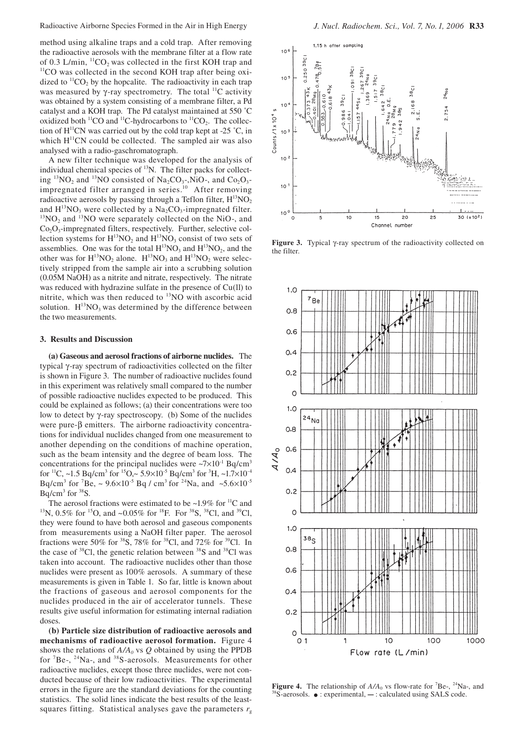method using alkaline traps and a cold trap. After removing the radioactive aerosols with the membrane filter at a flow rate of 0.3 L/min,  ${}^{11}CO_2$  was collected in the first KOH trap and  ${}^{11}CO$  was collected in the second KOH trap after being oxidized to  ${}^{11}CO_2$  by the hopcalite. The radioactivity in each trap was measured by  $\gamma$ -ray spectrometry. The total  $^{11}C$  activity was obtained by a system consisting of a membrane filter, a Pd catalyst and a KOH trap. The Pd catalyst maintained at 550 ˚C oxidized both  ${}^{11}CO$  and  ${}^{11}C$ -hydrocarbons to  ${}^{11}CO_2$ . The collection of  $H^{11}CN$  was carried out by the cold trap kept at -25 °C, in which  $H^{11}CN$  could be collected. The sampled air was also analysed with a radio-gaschromatograph.

A new filter technique was developed for the analysis of individual chemical species of  $^{13}N$ . The filter packs for collecting <sup>13</sup>NO<sub>2</sub> and <sup>13</sup>NO consisted of Na<sub>2</sub>CO<sub>3</sub>-,NiO<sub>2</sub>, and Co<sub>2</sub>O<sub>3</sub>impregnated filter arranged in series.<sup>10</sup> After removing radioactive aerosols by passing through a Teflon filter,  $H^{13}NO<sub>2</sub>$ and  $H^{13}NO_3$  were collected by a Na<sub>2</sub>CO<sub>3</sub>-impregnated filter. <sup>13</sup>NO<sub>2</sub> and <sup>13</sup>NO were separately collected on the NiO-, and  $Co<sub>2</sub>O<sub>3</sub>$ -impregnated filters, respectively. Further, selective collection systems for  $H^{13}NO_2$  and  $H^{13}NO_3$  consist of two sets of assemblies. One was for the total  $H^{13}NO_3$  and  $H^{13}NO_2$ , and the other was for  $H^{13}NO_2$  alone.  $H^{13}NO_3$  and  $H^{13}NO_2$  were selectively stripped from the sample air into a scrubbing solution (0.05M NaOH) as a nitrite and nitrate, respectively. The nitrate was reduced with hydrazine sulfate in the presence of Cu(ll) to nitrite, which was then reduced to 13NO with ascorbic acid solution.  $H^{13}NO_3$  was determined by the difference between the two measurements.

#### **3. Results and Discussion**

**(a) Gaseous and aerosol fractions of airborne nuclides.** The typical γ-ray spectrum of radioactivities collected on the filter is shown in Figure 3. The number of radioactive nuclides found in this experiment was relatively small compared to the number of possible radioactive nuclides expected to be produced. This could be explained as follows; (a) their concentrations were too low to detect by γ-ray spectroscopy. (b) Some of the nuclides were pure-β emitters. The airborne radioactivity concentrations for individual nuclides changed from one measurement to another depending on the conditions of machine operation, such as the beam intensity and the degree of beam loss. The concentrations for the principal nuclides were  $\sim 7 \times 10^{-1}$  Bq/cm<sup>3</sup> for <sup>11</sup>C, ~1.5 Bq/cm<sup>3</sup> for <sup>15</sup>O,~ 5.9×10<sup>-5</sup> Bq/cm<sup>3</sup> for <sup>3</sup>H, ~1.7×10<sup>-4</sup> Bq/cm<sup>3</sup> for <sup>7</sup>Be, ~ 9.6×10<sup>-5</sup> Bq / cm<sup>3</sup> for <sup>24</sup>Na, and ~5.6×10<sup>-5</sup>  $Bq/cm<sup>3</sup>$  for  $<sup>38</sup>S$ .</sup>

The aerosol fractions were estimated to be ~1.9% for <sup>11</sup>C and <sup>13</sup>N, 0.5% for <sup>15</sup>O, and ~0.05% for <sup>18</sup>F. For <sup>38</sup>S, <sup>38</sup>Cl, and <sup>39</sup>Cl, they were found to have both aerosol and gaseous components from measurements using a NaOH filter paper. The aerosol fractions were 50% for  $38S$ , 78% for  $38Cl$ , and 72% for  $39Cl$ . In the case of  ${}^{38}$ Cl, the genetic relation between  ${}^{38}S$  and  ${}^{38}Cl$  was taken into account. The radioactive nuclides other than those nuclides were present as 100% aerosols. A summary of these measurements is given in Table 1. So far, little is known about the fractions of gaseous and aerosol components for the nuclides produced in the air of accelerator tunnels. These results give useful information for estimating internal radiation doses

**(b) Particle size distribution of radioactive aerosols and mechanisms of radioactive aerosol formation.** Figure 4 shows the relations of  $A/A<sub>0</sub>$  vs  $Q$  obtained by using the PPDB for <sup>7</sup>Be-, <sup>24</sup>Na-, and <sup>38</sup>S-aerosols. Measurements for other radioactive nuclides, except those three nuclides, were not conducted because of their low radioactivities. The experimental errors in the figure are the standard deviations for the counting statistics. The solid lines indicate the best results of the leastsquares fitting. Statistical analyses gave the parameters  $r_g$ 



**Figure 3.** Typical γ-ray spectrum of the radioactivity collected on the filter.



**Figure 4.** The relationship of  $A/A_0$  vs flow-rate for <sup>7</sup>Be-, <sup>24</sup>Na-, and <sup>38</sup>S-aerosols.  $\bullet$  : experimental, — : calculated using SALS code.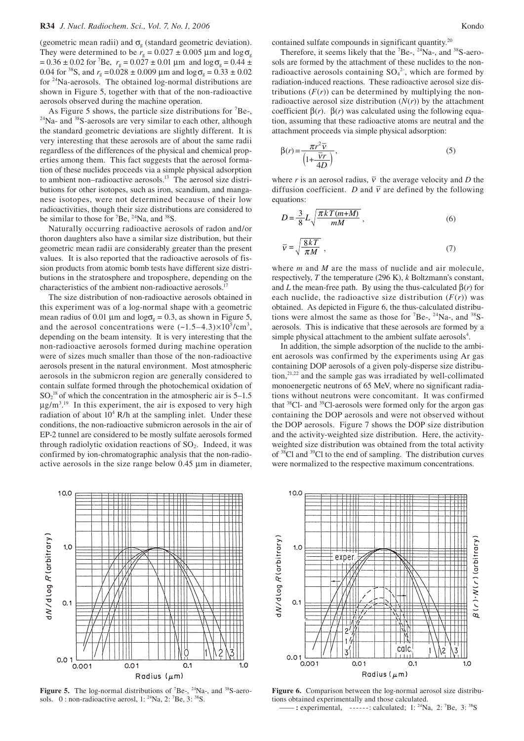(geometric mean radii) and  $\sigma_{g}$  (standard geometric deviation). They were determined to be  $r_g = 0.027 \pm 0.005$  µm and  $\log \sigma_g$  $= 0.36 \pm 0.02$  for <sup>7</sup>Be,  $r_g = 0.027 \pm 0.01$  µm and  $\log \sigma_g = 0.44 \pm 0.02$ 0.04 for <sup>38</sup>S, and  $r_g = 0.028 \pm 0.009$  µm and  $\log \sigma_g = 0.33 \pm 0.02$ for 24Na-aerosols. The obtained log-normal distributions are shown in Figure 5, together with that of the non-radioactive aerosols observed during the machine operation.

As Figure 5 shows, the particle size distributions for  $7Be$ ,  $24$ Na- and  $38$ S-aerosols are very similar to each other, although the standard geometric deviations are slightly different. It is very interesting that these aerosols are of about the same radii regardless of the differences of the physical and chemical properties among them. This fact suggests that the aerosol formation of these nuclides proceeds via a simple physical adsorption to ambient non–radioactive aerosols.13 The aerosol size distributions for other isotopes, such as iron, scandium, and manganese isotopes, were not determined because of their low radioactivities, though their size distributions are considered to be similar to those for  ${}^{7}Be$ ,  ${}^{24}Na$ , and  ${}^{38}S$ .

Naturally occurring radioactive aerosols of radon and/or thoron daughters also have a similar size distribution, but their geometric mean radii are considerably greater than the present values. It is also reported that the radioactive aerosols of fission products from atomic bomb tests have different size distributions in the stratosphere and troposphere, depending on the characteristics of the ambient non-radioactive aerosols.<sup>1</sup>

The size distribution of non-radioactive aerosols obtained in this experiment was of a log-normal shape with a geometric mean radius of 0.01  $\mu$ m and  $\log \sigma$ <sub>g</sub> = 0.3, as shown in Figure 5, and the aerosol concentrations were  $(-1.5-4.3)\times10^5$ /cm<sup>3</sup>, depending on the beam intensity. It is very interesting that the non-radioactive aerosols formed during machine operation were of sizes much smaller than those of the non-radioactive aerosols present in the natural environment. Most atmospheric aerosols in the submicron region are generally considered to contain sulfate formed through the photochemical oxidation of  $SO_2^{18}$  of which the concentration in the atmospheric air is 5–1.5  $\mu$ g/m<sup>3.19</sup> In this experiment, the air is exposed to very high radiation of about  $10^4$  R/h at the sampling inlet. Under these conditions, the non-radioactive submicron aerosols in the air of EP-2 tunnel are considered to be mostly sulfate aerosols formed through radiolytic oxidation reactions of  $SO<sub>2</sub>$ . Indeed, it was confirmed by ion-chromatographic analysis that the non-radioactive aerosols in the size range below 0.45 µm in diameter,



**Figure 5.** The log-normal distributions of  ${}^{7}Be^{-}$ ,  ${}^{24}Na^{-}$ , and  ${}^{38}S$ -aerosols.  $0:$  non-radioactive aerosl, 1: <sup>24</sup>Na, 2: <sup>7</sup>Be, 3: <sup>38</sup>S.

contained sulfate compounds in significant quantity.<sup>20</sup>

Therefore, it seems likely that the  $^7$ Be-,  $^{24}$ Na-, and  $^{38}$ S-aerosols are formed by the attachment of these nuclides to the nonradioactive aerosols containing  $SO_4^2$ , which are formed by radiation-induced reactions. These radioactive aerosol size distributions  $(F(r))$  can be determined by multiplying the nonradioactive aerosol size distribution  $(N(r))$  by the attachment coefficient  $β(r)$ .  $β(r)$  was calculated using the following equation, assuming that these radioactive atoms are neutral and the attachment proceeds via simple physical adsorption:

$$
\beta(r) = \frac{\pi r^2 \overline{v}}{\left(1 + \frac{\overline{v}r}{4D}\right)},
$$
\n(5)

where *r* is an aerosol radius,  $\overline{v}$  the average velocity and *D* the diffusion coefficient. *D* and  $\overline{v}$  are defined by the following equations:

$$
D = \frac{3}{8} L \sqrt{\frac{\pi k T (m + M)}{m M}},
$$
\n(6)

$$
\overline{v} = \sqrt{\frac{8kT}{\pi M}} \tag{7}
$$

where *m* and *M* are the mass of nuclide and air molecule, respectively, *T* the temperature (296 K), *k* Boltzmann's constant, and *L* the mean-free path. By using the thus-calculated  $\beta(r)$  for each nuclide, the radioactive size distribution  $(F(r))$  was obtained. As depicted in Figure 6, the thus-calculated distributions were almost the same as those for  ${}^{7}Be$ ,  ${}^{24}Na$ , and  ${}^{38}S$ aerosols. This is indicative that these aerosols are formed by a simple physical attachment to the ambient sulfate aerosols<sup>4</sup>.

In addition, the simple adsorption of the nuclide to the ambient aerosols was confirmed by the experiments using Ar gas containing DOP aerosols of a given poly-disperse size distribu- $\sum_{n=1}^{\infty}$  and the sample gas was irradiated by well-collimated monoenergetic neutrons of 65 MeV, where no significant radiations without neutrons were concomitant. It was confirmed that 38Cl- and 39Cl-aerosols were formed only for the argon gas containing the DOP aerosols and were not observed without the DOP aerosols. Figure 7 shows the DOP size distribution and the activity-weighted size distribution. Here, the activityweighted size distribution was obtained from the total activity of 38Cl and 39Cl to the end of sampling. The distribution curves were normalized to the respective maximum concentrations.



Figure 6. Comparison between the log-normal aerosol size distributions obtained experimentally and those calculated.  $\cdots$ : experimental,  $\cdots$  -  $\cdots$  : calculated; 1: <sup>24</sup>Na, 2: <sup>7</sup>Be, 3: <sup>38</sup>S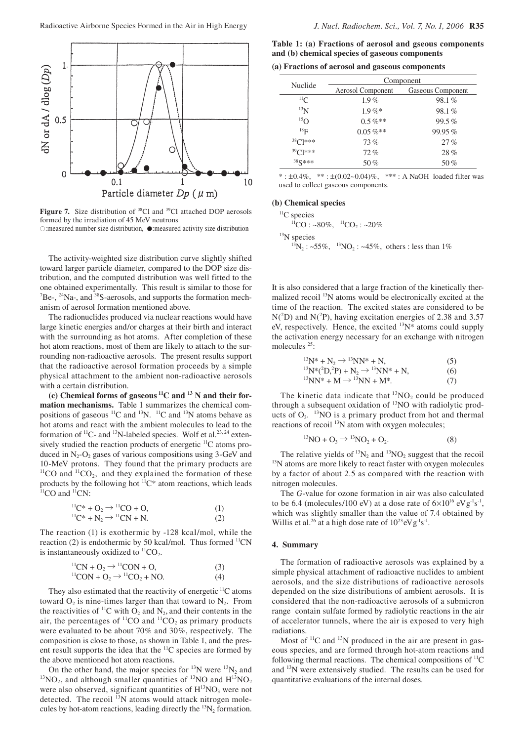

Figure 7. Size distribution of <sup>38</sup>Cl and <sup>39</sup>Cl attached DOP aerosols formed by the irradiation of 45 MeV neutrons ○:measured number size distribution, ●:measured activity size distribution

The activity-weighted size distribution curve slightly shifted toward larger particle diameter, compared to the DOP size distribution, and the computed distribution was well fitted to the one obtained experimentally. This result is similar to those for  ${}^{7}$ Be-,  ${}^{24}$ Na-, and  ${}^{38}$ S-aerosols, and supports the formation mechanism of aerosol formation mentioned above.

The radionuclides produced via nuclear reactions would have large kinetic energies and/or charges at their birth and interact with the surrounding as hot atoms. After completion of these hot atom reactions, most of them are likely to attach to the surrounding non-radioactive aerosols. The present results support that the radioactive aerosol formation proceeds by a simple physical attachment to the ambient non-radioactive aerosols with a certain distribution.

**(c) Chemical forms of gaseous 11C and 13 N and their formation mechanisms.** Table 1 summarizes the chemical compositions of gaseous  ${}^{11}C$  and  ${}^{13}N$ .  ${}^{11}C$  and  ${}^{13}N$  atoms behave as hot atoms and react with the ambient molecules to lead to the formation of  $^{11}$ C- and  $^{13}$ N-labeled species. Wolf et al.<sup>23, 24</sup> extensively studied the reaction products of energetic <sup>11</sup>C atoms produced in  $N_2$ -O<sub>2</sub> gases of various compositions using 3-GeV and 10-MeV protons. They found that the primary products are  $11^1$ CO and  $11^1$ CO<sub>2</sub>, and they explained the formation of these products by the following hot  ${}^{\hat{11}}C^*$  atom reactions, which leads  ${}^{\hat{11}}CO$  and  ${}^{\hat{11}}CN$ :

$$
{}^{11}C^* + O_2 \to {}^{11}CO + O,
$$
  
\n
$$
{}^{11}C^* + N_2 \to {}^{11}CN + N.
$$
  
\n(1)  
\n(2)

The reaction (1) is exothermic by -128 kcal/mol, while the reaction (2) is endothermic by 50 kcal/mol. Thus formed  ${}^{11}CN$ is instantaneously oxidized to  ${}^{11}CO_2$ .

$$
{}^{11}CN + O_2 \rightarrow {}^{11}CON + O, \tag{3}
$$
  

$$
{}^{11}CON + O_2 \rightarrow {}^{11}CO_2 + NO. \tag{4}
$$

They also estimated that the reactivity of energetic  ${}^{11}C$  atoms toward  $O_2$  is nine-times larger than that toward to  $N_2$ . From the reactivities of  ${}^{11}C$  with  $O_2$  and N<sub>2</sub>, and their contents in the air, the percentages of  ${}^{11}CO$  and  ${}^{11}CO_2$  as primary products were evaluated to be about 70% and 30%, respectively. The composition is close to those, as shown in Table 1, and the present result supports the idea that the 11C species are formed by the above mentioned hot atom reactions.<br>On the other hand, the maior species for  $^{13}N$  were  $^{13}N_2$  and

 $^{13}NO<sub>2</sub>$ , and although smaller quantities of  $^{13}NO$  and  $H^{13}NO<sub>2</sub>$ were also observed, significant quantities of  $H^{13}NO<sub>3</sub>$  were not detected. The recoil  $^{13}N$  atoms would attack nitrogen molecules by hot-atom reactions, leading directly the  $^{13}N<sub>2</sub>$  formation.

**Table 1: (a) Fractions of aerosol and gseous components and (b) chemical species of gaseous components**

|  |  | (a) Fractions of aerosol and gaseous components |
|--|--|-------------------------------------------------|
|  |  |                                                 |

| Nuclide       | Component         |                   |  |  |
|---------------|-------------------|-------------------|--|--|
|               | Aerosol Component | Gaseous Component |  |  |
| $^{11}C$      | $1.9\%$           | 98.1%             |  |  |
| $^{13}N$      | $1.9\%*$          | 98.1%             |  |  |
| $^{15}$ O     | $0.5\,\%$ **      | 99.5%             |  |  |
| $^{18}F$      | $0.05\,\%$ **     | 99.95%            |  |  |
| $^{38}$ Cl*** | 73%               | 27%               |  |  |
| 39 Cl***      | 72%               | 28%               |  |  |
| $388$ ***     | 50%               | 50%               |  |  |

\*:  $\pm 0.4\%$ , \*\*:  $\pm (0.02 \sim 0.04)\%$ , \*\*\*: A NaOH loaded filter was used to collect gaseous components.

# **(b) Chemical species**

<sup>11</sup>C species<br><sup>11</sup>CO : ~80%, <sup>11</sup>CO<sub>2</sub> : ~20% <sup>13</sup>N species  $^{13}N_2$  : ~55%,  $^{13}N_2$  : ~45%, others : less than 1%

It is also considered that a large fraction of the kinetically thermalized recoil <sup>13</sup>N atoms would be electronically excited at the time of the reaction. The excited states are considered to be  $N(^{2}D)$  and  $N(^{2}P)$ , having excitation energies of 2.38 and 3.57 eV, respectively. Hence, the excited  $13N^*$  atoms could supply the activation energy necessary for an exchange with nitrogen molecules  $25$ :

$$
{}^{13}N^* + N_2 \rightarrow {}^{13}NN^* + N, \tag{5}
$$
  
\n
$$
{}^{13}N^*({}^{2}D,{}^{2}P) + N_2 \rightarrow {}^{13}NN^* + N, \tag{6}
$$
  
\n
$$
{}^{13}NN^* + M \rightarrow {}^{13}NN + M^*.
$$
  
\n
$$
(7)
$$

The kinetic data indicate that  ${}^{13}NO_2$  could be produced through a subsequent oxidation of <sup>13</sup>NO with radiolytic products of  $O_3$ . <sup>13</sup>NO is a primary product from hot and thermal reactions of recoil <sup>13</sup>N atom with oxygen molecules;

$$
{}^{13}NO + O_3 \rightarrow {}^{13}NO_2 + O_2. \tag{8}
$$

The relative yields of  ${}^{13}N_2$  and  ${}^{13}NO_2$  suggest that the recoil  ${}^{13}N$  atoms are more likely to react faster with oxygen molecules by a factor of about 2.5 as compared with the reaction with nitrogen molecules.

The *G*-value for ozone formation in air was also calculated to be 6.4 (molecules/100 eV) at a dose rate of  $6\times10^{16}$  eVg<sup>-1</sup>s<sup>-1</sup>, which was slightly smaller than the value of 7.4 obtained by Willis et al.<sup>26</sup> at a high dose rate of  $10^{23}$  eV  $g<sup>-1</sup>s<sup>-1</sup>$ .

## **4. Summary**

The formation of radioactive aerosols was explained by a simple physical attachment of radioactive nuclides to ambient aerosols, and the size distributions of radioactive aerosols depended on the size distributions of ambient aerosols. It is considered that the non-radioactive aerosols of a submicron range contain sulfate formed by radiolytic reactions in the air of accelerator tunnels, where the air is exposed to very high radiations.

Most of <sup>11</sup>C and <sup>13</sup>N produced in the air are present in gaseous species, and are formed through hot-atom reactions and following thermal reactions. The chemical compositions of  ${}^{11}C$ and 13N were extensively studied. The results can be used for quantitative evaluations of the internal doses.